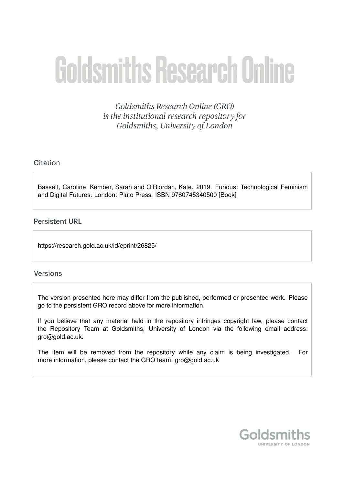# **Goldsmiths Research Online**

Goldsmiths Research Online (GRO) is the institutional research repository for Goldsmiths, University of London

## Citation

Bassett, Caroline; Kember, Sarah and O'Riordan, Kate. 2019. Furious: Technological Feminism and Digital Futures. London: Pluto Press. ISBN 9780745340500 [Book]

### **Persistent URL**

https://research.gold.ac.uk/id/eprint/26825/

#### **Versions**

The version presented here may differ from the published, performed or presented work. Please go to the persistent GRO record above for more information.

If you believe that any material held in the repository infringes copyright law, please contact the Repository Team at Goldsmiths, University of London via the following email address: gro@gold.ac.uk.

The item will be removed from the repository while any claim is being investigated. For more information, please contact the GRO team: gro@gold.ac.uk

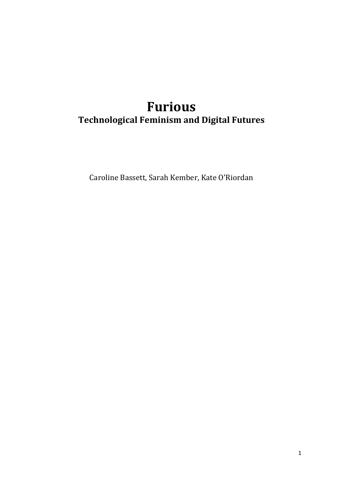# **Furious Technological Feminism and Digital Futures**

Caroline Bassett, Sarah Kember, Kate O'Riordan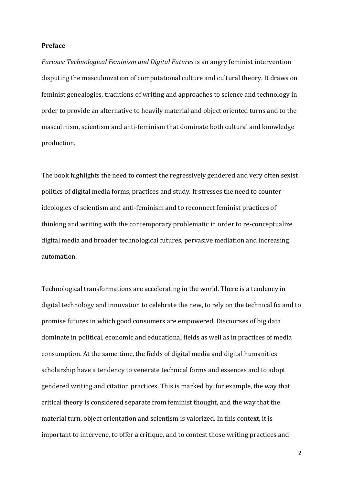#### **Preface**

*Furious: Technological Feminism and Digital Futures* is an angry feminist intervention disputing the masculinization of computational culture and cultural theory. It draws on feminist genealogies, traditions of writing and approaches to science and technology in order to provide an alternative to heavily material and object oriented turns and to the masculinism, scientism and anti-feminism that dominate both cultural and knowledge production.

The book highlights the need to contest the regressively gendered and very often sexist politics of digital media forms, practices and study. It stresses the need to counter ideologies of scientism and anti-feminism and to reconnect feminist practices of thinking and writing with the contemporary problematic in order to re-conceptualize digital media and broader technological futures, pervasive mediation and increasing automation.

Technological transformations are accelerating in the world. There is a tendency in digital technology and innovation to celebrate the new, to rely on the technical fix and to promise futures in which good consumers are empowered. Discourses of big data dominate in political, economic and educational fields as well as in practices of media consumption. At the same time, the fields of digital media and digital humanities scholarship have a tendency to venerate technical forms and essences and to adopt gendered writing and citation practices. This is marked by, for example, the way that critical theory is considered separate from feminist thought, and the way that the material turn, object orientation and scientism is valorized. In this context, it is important to intervene, to offer a critique, and to contest those writing practices and

2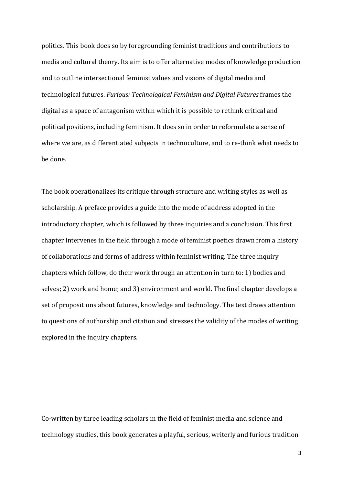politics. This book does so by foregrounding feminist traditions and contributions to media and cultural theory. Its aim is to offer alternative modes of knowledge production and to outline intersectional feminist values and visions of digital media and technological futures. *Furious: Technological Feminism and Digital Futures* frames the digital as a space of antagonism within which it is possible to rethink critical and political positions, including feminism. It does so in order to reformulate a sense of where we are, as differentiated subjects in technoculture, and to re-think what needs to be done.

The book operationalizes its critique through structure and writing styles as well as scholarship. A preface provides a guide into the mode of address adopted in the introductory chapter, which is followed by three inquiries and a conclusion. This first chapter intervenes in the field through a mode of feminist poetics drawn from a history of collaborations and forms of address within feminist writing. The three inquiry chapters which follow, do their work through an attention in turn to: 1) bodies and selves; 2) work and home; and 3) environment and world. The final chapter develops a set of propositions about futures, knowledge and technology. The text draws attention to questions of authorship and citation and stresses the validity of the modes of writing explored in the inquiry chapters.

Co-written by three leading scholars in the field of feminist media and science and technology studies, this book generates a playful, serious, writerly and furious tradition

3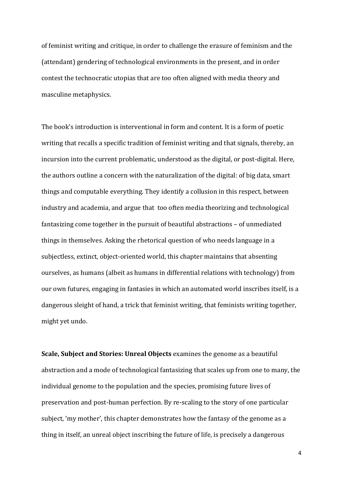of feminist writing and critique, in order to challenge the erasure of feminism and the (attendant) gendering of technological environments in the present, and in order contest the technocratic utopias that are too often aligned with media theory and masculine metaphysics.

The book's introduction is interventional in form and content. It is a form of poetic writing that recalls a specific tradition of feminist writing and that signals, thereby, an incursion into the current problematic, understood as the digital, or post-digital. Here, the authors outline a concern with the naturalization of the digital: of big data, smart things and computable everything. They identify a collusion in this respect, between industry and academia, and argue that too often media theorizing and technological fantasizing come together in the pursuit of beautiful abstractions – of unmediated things in themselves. Asking the rhetorical question of who needs language in a subjectless, extinct, object-oriented world, this chapter maintains that absenting ourselves, as humans (albeit as humans in differential relations with technology) from our own futures, engaging in fantasies in which an automated world inscribes itself, is a dangerous sleight of hand, a trick that feminist writing, that feminists writing together, might yet undo.

**Scale, Subject and Stories: Unreal Objects** examines the genome as a beautiful abstraction and a mode of technological fantasizing that scales up from one to many, the individual genome to the population and the species, promising future lives of preservation and post-human perfection. By re-scaling to the story of one particular subject, 'my mother', this chapter demonstrates how the fantasy of the genome as a thing in itself, an unreal object inscribing the future of life, is precisely a dangerous

4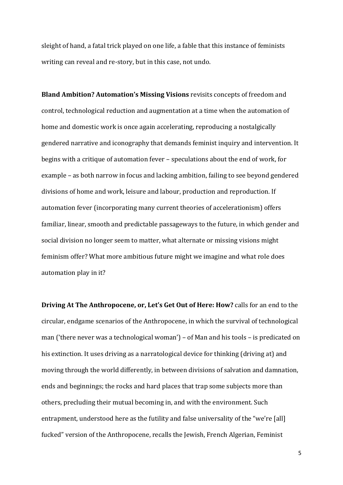sleight of hand, a fatal trick played on one life, a fable that this instance of feminists writing can reveal and re-story, but in this case, not undo.

**Bland Ambition? Automation's Missing Visions** revisits concepts of freedom and control, technological reduction and augmentation at a time when the automation of home and domestic work is once again accelerating, reproducing a nostalgically gendered narrative and iconography that demands feminist inquiry and intervention. It begins with a critique of automation fever – speculations about the end of work, for example – as both narrow in focus and lacking ambition, failing to see beyond gendered divisions of home and work, leisure and labour, production and reproduction. If automation fever (incorporating many current theories of accelerationism) offers familiar, linear, smooth and predictable passageways to the future, in which gender and social division no longer seem to matter, what alternate or missing visions might feminism offer? What more ambitious future might we imagine and what role does automation play in it?

**Driving At The Anthropocene, or, Let's Get Out of Here: How?** calls for an end to the circular, endgame scenarios of the Anthropocene, in which the survival of technological man ('there never was a technological woman') – of Man and his tools – is predicated on his extinction. It uses driving as a narratological device for thinking (driving at) and moving through the world differently, in between divisions of salvation and damnation, ends and beginnings; the rocks and hard places that trap some subjects more than others, precluding their mutual becoming in, and with the environment. Such entrapment, understood here as the futility and false universality of the "we're [all] fucked" version of the Anthropocene, recalls the Jewish, French Algerian, Feminist